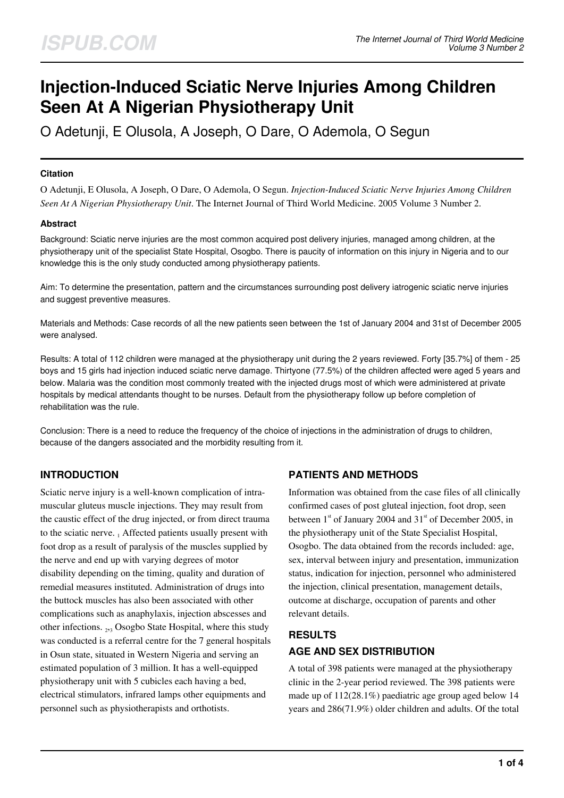# **Injection-Induced Sciatic Nerve Injuries Among Children Seen At A Nigerian Physiotherapy Unit**

O Adetunji, E Olusola, A Joseph, O Dare, O Ademola, O Segun

## **Citation**

O Adetunji, E Olusola, A Joseph, O Dare, O Ademola, O Segun. *Injection-Induced Sciatic Nerve Injuries Among Children Seen At A Nigerian Physiotherapy Unit*. The Internet Journal of Third World Medicine. 2005 Volume 3 Number 2.

## **Abstract**

Background: Sciatic nerve injuries are the most common acquired post delivery injuries, managed among children, at the physiotherapy unit of the specialist State Hospital, Osogbo. There is paucity of information on this injury in Nigeria and to our knowledge this is the only study conducted among physiotherapy patients.

Aim: To determine the presentation, pattern and the circumstances surrounding post delivery iatrogenic sciatic nerve injuries and suggest preventive measures.

Materials and Methods: Case records of all the new patients seen between the 1st of January 2004 and 31st of December 2005 were analysed.

Results: A total of 112 children were managed at the physiotherapy unit during the 2 years reviewed. Forty [35.7%] of them - 25 boys and 15 girls had injection induced sciatic nerve damage. Thirtyone (77.5%) of the children affected were aged 5 years and below. Malaria was the condition most commonly treated with the injected drugs most of which were administered at private hospitals by medical attendants thought to be nurses. Default from the physiotherapy follow up before completion of rehabilitation was the rule.

Conclusion: There is a need to reduce the frequency of the choice of injections in the administration of drugs to children, because of the dangers associated and the morbidity resulting from it.

## **INTRODUCTION**

Sciatic nerve injury is a well-known complication of intramuscular gluteus muscle injections. They may result from the caustic effect of the drug injected, or from direct trauma to the sciatic nerve. 1 Affected patients usually present with foot drop as a result of paralysis of the muscles supplied by the nerve and end up with varying degrees of motor disability depending on the timing, quality and duration of remedial measures instituted. Administration of drugs into the buttock muscles has also been associated with other complications such as anaphylaxis, injection abscesses and other infections. <sub>2,3</sub> Osogbo State Hospital, where this study was conducted is a referral centre for the 7 general hospitals in Osun state, situated in Western Nigeria and serving an estimated population of 3 million. It has a well-equipped physiotherapy unit with 5 cubicles each having a bed, electrical stimulators, infrared lamps other equipments and personnel such as physiotherapists and orthotists.

## **PATIENTS AND METHODS**

Information was obtained from the case files of all clinically confirmed cases of post gluteal injection, foot drop, seen between  $1<sup>st</sup>$  of January 2004 and  $31<sup>st</sup>$  of December 2005, in the physiotherapy unit of the State Specialist Hospital, Osogbo. The data obtained from the records included: age, sex, interval between injury and presentation, immunization status, indication for injection, personnel who administered the injection, clinical presentation, management details, outcome at discharge, occupation of parents and other relevant details.

## **RESULTS AGE AND SEX DISTRIBUTION**

A total of 398 patients were managed at the physiotherapy clinic in the 2-year period reviewed. The 398 patients were made up of 112(28.1%) paediatric age group aged below 14 years and 286(71.9%) older children and adults. Of the total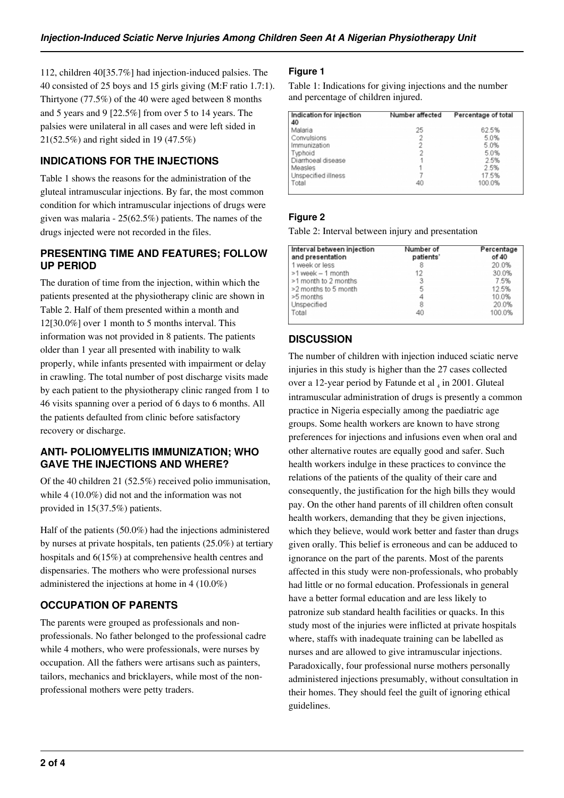112, children 40[35.7%] had injection-induced palsies. The 40 consisted of 25 boys and 15 girls giving (M:F ratio 1.7:1). Thirtyone (77.5%) of the 40 were aged between 8 months and 5 years and 9 [22.5%] from over 5 to 14 years. The palsies were unilateral in all cases and were left sided in 21(52.5%) and right sided in 19 (47.5%)

## **INDICATIONS FOR THE INJECTIONS**

Table 1 shows the reasons for the administration of the gluteal intramuscular injections. By far, the most common condition for which intramuscular injections of drugs were given was malaria - 25(62.5%) patients. The names of the drugs injected were not recorded in the files.

## **PRESENTING TIME AND FEATURES; FOLLOW UP PERIOD**

The duration of time from the injection, within which the patients presented at the physiotherapy clinic are shown in Table 2. Half of them presented within a month and 12[30.0%] over 1 month to 5 months interval. This information was not provided in 8 patients. The patients older than 1 year all presented with inability to walk properly, while infants presented with impairment or delay in crawling. The total number of post discharge visits made by each patient to the physiotherapy clinic ranged from 1 to 46 visits spanning over a period of 6 days to 6 months. All the patients defaulted from clinic before satisfactory recovery or discharge.

## **ANTI- POLIOMYELITIS IMMUNIZATION; WHO GAVE THE INJECTIONS AND WHERE?**

Of the 40 children 21 (52.5%) received polio immunisation, while 4 (10.0%) did not and the information was not provided in 15(37.5%) patients.

Half of the patients (50.0%) had the injections administered by nurses at private hospitals, ten patients (25.0%) at tertiary hospitals and 6(15%) at comprehensive health centres and dispensaries. The mothers who were professional nurses administered the injections at home in 4 (10.0%)

## **OCCUPATION OF PARENTS**

The parents were grouped as professionals and nonprofessionals. No father belonged to the professional cadre while 4 mothers, who were professionals, were nurses by occupation. All the fathers were artisans such as painters, tailors, mechanics and bricklayers, while most of the nonprofessional mothers were petty traders.

## **Figure 1**

Table 1: Indications for giving injections and the number and percentage of children injured.

| Indication for injection<br>40 | Number affected | Percentage of total |
|--------------------------------|-----------------|---------------------|
| Malaria                        | 25              | 62.5%               |
| Convulsions                    |                 | 5.0%                |
| Immunization                   | 2               | 5.0%                |
| Typhoid                        |                 | 5.0%                |
| Diarrhoeal disease             |                 | 2.5%                |
| Measles                        |                 | 2.5%                |
| Unspecified illness            |                 | 17.5%               |
| Total                          | 40              | 100.0%              |

## **Figure 2**

Table 2: Interval between injury and presentation

| Interval between injection<br>and presentation | Number of<br>patients' | Percentage<br>of 40 |
|------------------------------------------------|------------------------|---------------------|
| 1 week or less                                 | 8                      | 20.0%               |
| >1 week - 1 month                              | 12                     | 30.0%               |
| >1 month to 2 months                           | 3                      | 7.5%                |
| >2 months to 5 month                           | 5                      | 12.5%               |
| >5 months                                      | 4                      | 10.0%               |
| Unspecified                                    | 8                      | 20.0%               |
| Total                                          | 40                     | 100.0%              |

## **DISCUSSION**

The number of children with injection induced sciatic nerve injuries in this study is higher than the 27 cases collected over a 12-year period by Fatunde et al  $_4$  in 2001. Gluteal intramuscular administration of drugs is presently a common practice in Nigeria especially among the paediatric age groups. Some health workers are known to have strong preferences for injections and infusions even when oral and other alternative routes are equally good and safer. Such health workers indulge in these practices to convince the relations of the patients of the quality of their care and consequently, the justification for the high bills they would pay. On the other hand parents of ill children often consult health workers, demanding that they be given injections, which they believe, would work better and faster than drugs given orally. This belief is erroneous and can be adduced to ignorance on the part of the parents. Most of the parents affected in this study were non-professionals, who probably had little or no formal education. Professionals in general have a better formal education and are less likely to patronize sub standard health facilities or quacks. In this study most of the injuries were inflicted at private hospitals where, staffs with inadequate training can be labelled as nurses and are allowed to give intramuscular injections. Paradoxically, four professional nurse mothers personally administered injections presumably, without consultation in their homes. They should feel the guilt of ignoring ethical guidelines.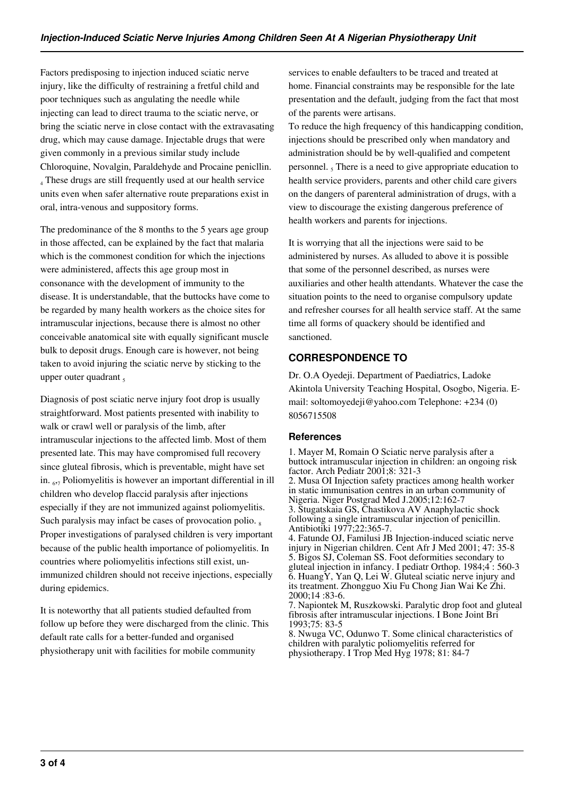Factors predisposing to injection induced sciatic nerve injury, like the difficulty of restraining a fretful child and poor techniques such as angulating the needle while injecting can lead to direct trauma to the sciatic nerve, or bring the sciatic nerve in close contact with the extravasating drug, which may cause damage. Injectable drugs that were given commonly in a previous similar study include Chloroquine, Novalgin, Paraldehyde and Procaine penicllin. 4 These drugs are still frequently used at our health service units even when safer alternative route preparations exist in oral, intra-venous and suppository forms.

The predominance of the 8 months to the 5 years age group in those affected, can be explained by the fact that malaria which is the commonest condition for which the injections were administered, affects this age group most in consonance with the development of immunity to the disease. It is understandable, that the buttocks have come to be regarded by many health workers as the choice sites for intramuscular injections, because there is almost no other conceivable anatomical site with equally significant muscle bulk to deposit drugs. Enough care is however, not being taken to avoid injuring the sciatic nerve by sticking to the upper outer quadrant,

Diagnosis of post sciatic nerve injury foot drop is usually straightforward. Most patients presented with inability to walk or crawl well or paralysis of the limb, after intramuscular injections to the affected limb. Most of them presented late. This may have compromised full recovery since gluteal fibrosis, which is preventable, might have set in. <sup>6</sup> ,7 Poliomyelitis is however an important differential in ill children who develop flaccid paralysis after injections especially if they are not immunized against poliomyelitis. Such paralysis may infact be cases of provocation polio.  $\frac{1}{8}$ Proper investigations of paralysed children is very important because of the public health importance of poliomyelitis. In countries where poliomyelitis infections still exist, unimmunized children should not receive injections, especially during epidemics.

It is noteworthy that all patients studied defaulted from follow up before they were discharged from the clinic. This default rate calls for a better-funded and organised physiotherapy unit with facilities for mobile community

services to enable defaulters to be traced and treated at home. Financial constraints may be responsible for the late presentation and the default, judging from the fact that most of the parents were artisans.

To reduce the high frequency of this handicapping condition, injections should be prescribed only when mandatory and administration should be by well-qualified and competent personnel. <sub>5</sub> There is a need to give appropriate education to health service providers, parents and other child care givers on the dangers of parenteral administration of drugs, with a view to discourage the existing dangerous preference of health workers and parents for injections.

It is worrying that all the injections were said to be administered by nurses. As alluded to above it is possible that some of the personnel described, as nurses were auxiliaries and other health attendants. Whatever the case the situation points to the need to organise compulsory update and refresher courses for all health service staff. At the same time all forms of quackery should be identified and sanctioned.

## **CORRESPONDENCE TO**

Dr. O.A Oyedeji. Department of Paediatrics, Ladoke Akintola University Teaching Hospital, Osogbo, Nigeria. Email: soltomoyedeji@yahoo.com Telephone: +234 (0) 8056715508

## **References**

1. Mayer M, Romain O Sciatic nerve paralysis after a buttock intramuscular injection in children: an ongoing risk factor. Arch Pediatr 2001;8: 321-3 2. Musa OI Injection safety practices among health worker in static immunisation centres in an urban community of Nigeria. Niger Postgrad Med J.2005;12:162-7 3. Stugatskaia GS, Chastikova AV Anaphylactic shock following a single intramuscular injection of penicillin. Antibiotiki 1977;22:365-7.

4. Fatunde OJ, Familusi JB Injection-induced sciatic nerve injury in Nigerian children. Cent Afr J Med 2001; 47: 35-8 5. Bigos SJ, Coleman SS. Foot deformities secondary to gluteal injection in infancy. I pediatr Orthop. 1984;4 : 560-3 6. HuangY, Yan Q, Lei W. Gluteal sciatic nerve injury and its treatment. Zhongguo Xiu Fu Chong Jian Wai Ke Zhi. 2000;14 :83-6.

7. Napiontek M, Ruszkowski. Paralytic drop foot and gluteal fibrosis after intramuscular injections. I Bone Joint Bri 1993;75: 83-5

8. Nwuga VC, Odunwo T. Some clinical characteristics of children with paralytic poliomyelitis referred for physiotherapy. I Trop Med Hyg 1978; 81: 84-7